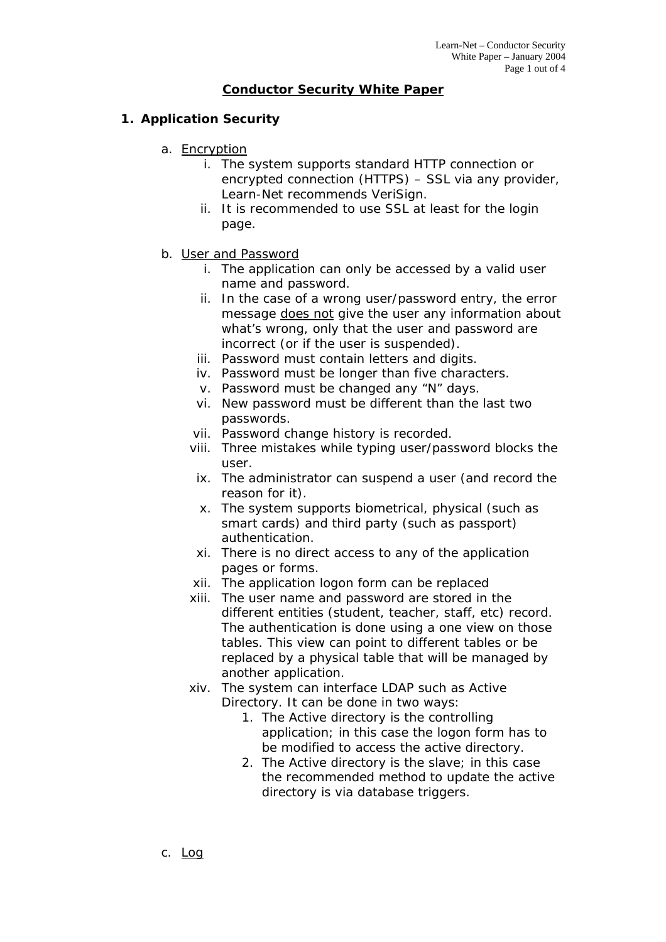## **Conductor Security White Paper**

## **1. Application Security**

- a. Encryption
	- i. The system supports standard HTTP connection or encrypted connection (HTTPS) – SSL via any provider, Learn-Net recommends VeriSign.
	- ii. It is recommended to use SSL at least for the login page.
- b. User and Password
	- i. The application can only be accessed by a valid user name and password.
	- ii. In the case of a wrong user/password entry, the error message does not give the user any information about what's wrong, only that the user and password are incorrect (or if the user is suspended).
	- iii. Password must contain letters and digits.
	- iv. Password must be longer than five characters.
	- v. Password must be changed any "N" days.
	- vi. New password must be different than the last two passwords.
	- vii. Password change history is recorded.
	- viii. Three mistakes while typing user/password blocks the user.
		- ix. The administrator can suspend a user (and record the reason for it).
		- x. The system supports biometrical, physical (such as smart cards) and third party (such as passport) authentication.
	- xi. There is no direct access to any of the application pages or forms.
	- xii. The application logon form can be replaced
	- xiii. The user name and password are stored in the different entities (student, teacher, staff, etc) record. The authentication is done using a one view on those tables. This view can point to different tables or be replaced by a physical table that will be managed by another application.
	- xiv. The system can interface LDAP such as Active
		- Directory. It can be done in two ways:
			- 1. The Active directory is the controlling application; in this case the logon form has to be modified to access the active directory.
			- 2. The Active directory is the slave; in this case the recommended method to update the active directory is via database triggers.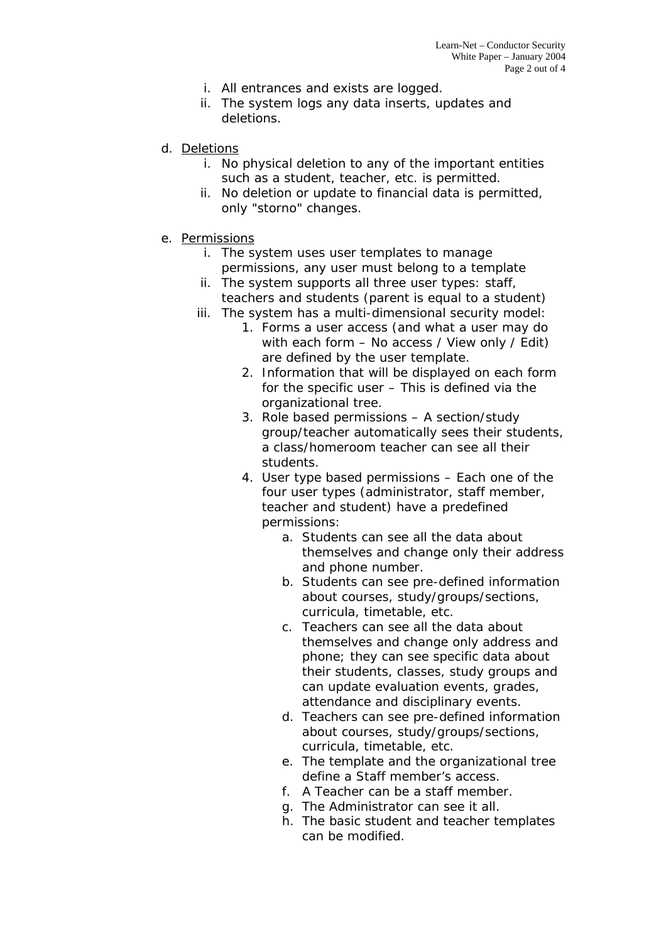- i. All entrances and exists are logged.
- ii. The system logs any data inserts, updates and deletions.
- d. Deletions
	- i. No physical deletion to any of the important entities such as a student, teacher, etc. is permitted.
	- ii. No deletion or update to financial data is permitted, only "storno" changes.
- e. Permissions
	- i. The system uses user templates to manage permissions, any user must belong to a template
	- ii. The system supports all three user types: staff, teachers and students (parent is equal to a student)
	- iii. The system has a multi-dimensional security model:
		- 1. Forms a user access (and what a user may do with each form – No access / View only / Edit) are defined by the user template.
		- 2. Information that will be displayed on each form for the specific user – This is defined via the organizational tree.
		- 3. Role based permissions A section/study group/teacher automatically sees their students, a class/homeroom teacher can see all their students.
		- 4. User type based permissions Each one of the four user types (administrator, staff member, teacher and student) have a predefined permissions:
			- a. Students can see all the data about themselves and change only their address and phone number.
			- b. Students can see pre-defined information about courses, study/groups/sections, curricula, timetable, etc.
			- c. Teachers can see all the data about themselves and change only address and phone; they can see specific data about their students, classes, study groups and can update evaluation events, grades, attendance and disciplinary events.
			- d. Teachers can see pre-defined information about courses, study/groups/sections, curricula, timetable, etc.
			- e. The template and the organizational tree define a Staff member's access.
			- f. A Teacher can be a staff member.
			- g. The Administrator can see it all.
			- h. The basic student and teacher templates can be modified.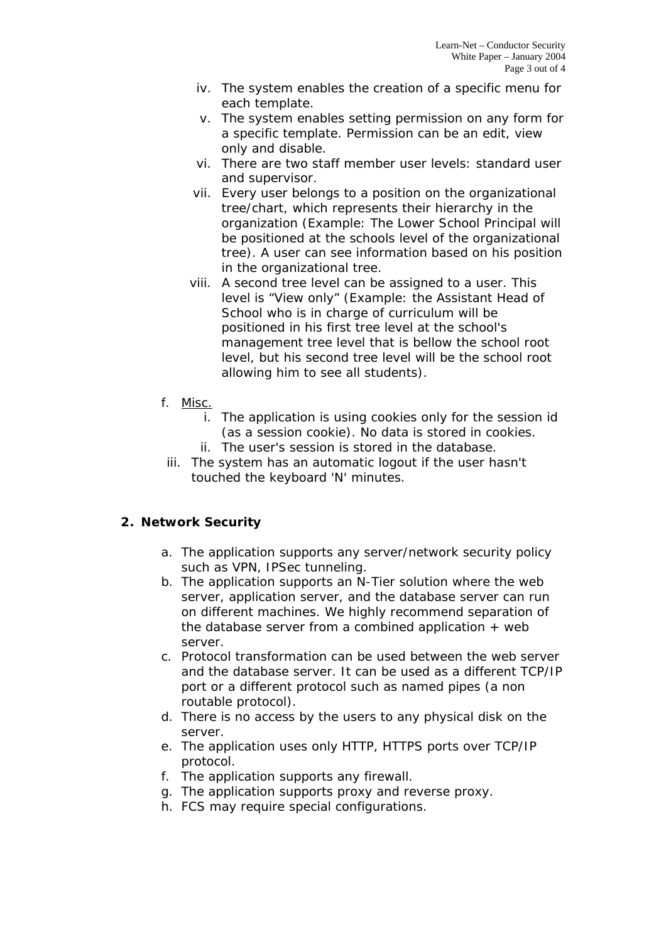- iv. The system enables the creation of a specific menu for each template.
- v. The system enables setting permission on any form for a specific template. Permission can be an edit, view only and disable.
- vi. There are two staff member user levels: standard user and supervisor.
- vii. Every user belongs to a position on the organizational tree/chart, which represents their hierarchy in the organization (Example: The Lower School Principal will be positioned at the schools level of the organizational tree). A user can see information based on his position in the organizational tree.
- viii. A second tree level can be assigned to a user. This level is "View only" (Example: the Assistant Head of School who is in charge of curriculum will be positioned in his first tree level at the school's management tree level that is bellow the school root level, but his second tree level will be the school root allowing him to see all students).
- f. Misc.
	- i. The application is using cookies only for the session id (as a session cookie). No data is stored in cookies.
	- ii. The user's session is stored in the database.
	- iii. The system has an automatic logout if the user hasn't touched the keyboard 'N' minutes.

## **2. Network Security**

- a. The application supports any server/network security policy such as VPN, IPSec tunneling.
- b. The application supports an N-Tier solution where the web server, application server, and the database server can run on different machines. We highly recommend separation of the database server from a combined application  $+$  web server.
- c. Protocol transformation can be used between the web server and the database server. It can be used as a different TCP/IP port or a different protocol such as named pipes (a non routable protocol).
- d. There is no access by the users to any physical disk on the server.
- e. The application uses only HTTP, HTTPS ports over TCP/IP protocol.
- f. The application supports any firewall.
- g. The application supports proxy and reverse proxy.
- h. FCS may require special configurations.